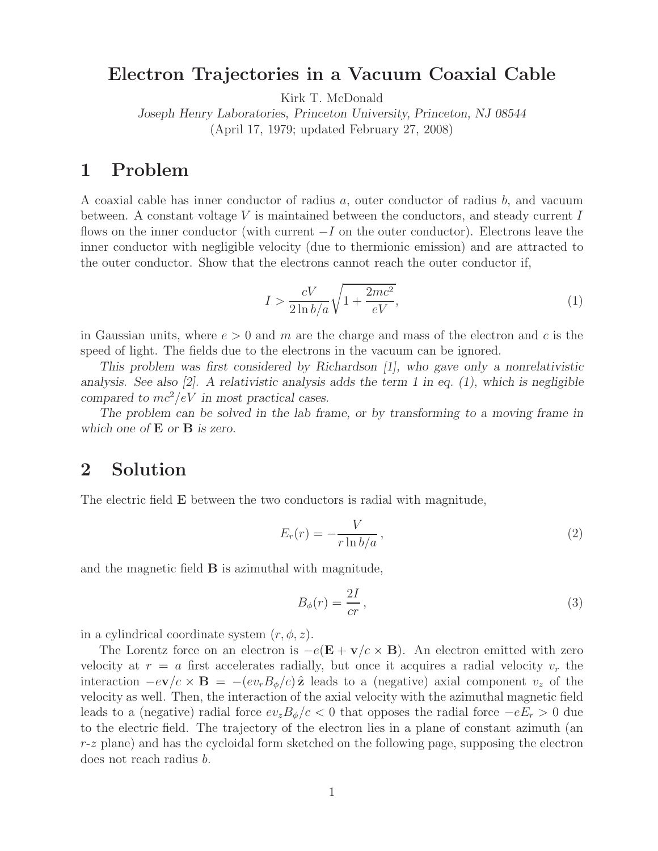## **Electron Trajectories in a Vacuum Coaxial Cable**

Kirk T. McDonald

*Joseph Henry Laboratories, Princeton University, Princeton, NJ 08544* (April 17, 1979; updated February 27, 2008)

A coaxial cable has inner conductor of radius a, outer conductor of radius b, and vacuum between. A constant voltage V is maintained between the conductors, and steady current I flows on the inner conductor (with current  $-I$  on the outer conductor). Electrons leave the inner conductor with negligible velocity (due to thermionic emission) and are attracted to the outer conductor. Show that the electrons cannot reach the outer conductor if,

$$
I > \frac{cV}{2\ln b/a} \sqrt{1 + \frac{2mc^2}{eV}},\tag{1}
$$

in Gaussian units, where  $e > 0$  and m are the charge and mass of the electron and c is the speed of light. The fields due to the electrons in the vacuum can be ignored.

*This problem was first considered by Richardson [1], who gave only a nonrelativistic analysis. See also [2]. A relativistic analysis adds the term 1 in eq. (1), which is negligible compared to*  $mc^2/eV$  *in most practical cases.* 

*The problem can be solved in the lab frame, or by transforming to a moving frame in which one of* **E** *or* **B** *is zero.*

# **2 Solution**

The electric field **E** between the two conductors is radial with magnitude,

$$
E_r(r) = -\frac{V}{r \ln b/a},\qquad(2)
$$

and the magnetic field **B** is azimuthal with magnitude,

$$
B_{\phi}(r) = \frac{2I}{cr},\tag{3}
$$

in a cylindrical coordinate system  $(r, \phi, z)$ .

The Lorentz force on an electron is  $-e(E + v/c \times B)$ . An electron emitted with zero velocity at  $r = a$  first accelerates radially, but once it acquires a radial velocity  $v_r$  the interaction  $-e\mathbf{v}/c \times \mathbf{B} = -(ev_rB_\phi/c)\hat{\mathbf{z}}$  leads to a (negative) axial component  $v_z$  of the velocity as well. Then, the interaction of the axial velocity with the azimuthal magnetic field leads to a (negative) radial force  $ev_zB_\phi/c < 0$  that opposes the radial force  $-eE_r > 0$  due to the electric field. The trajectory of the electron lies in a plane of constant azimuth (an  $r-z$  plane) and has the cycloidal form sketched on the following page, supposing the electron does not reach radius b.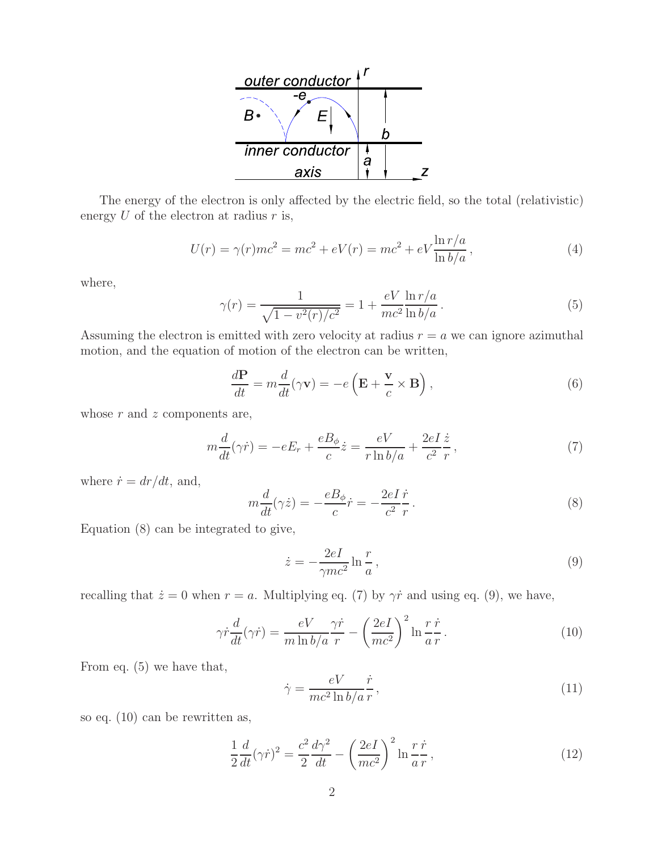

The energy of the electron is only affected by the electric field, so the total (relativistic) energy  $U$  of the electron at radius  $r$  is,

$$
U(r) = \gamma(r)mc^2 = mc^2 + eV(r) = mc^2 + eV \frac{\ln r/a}{\ln b/a},
$$
\n(4)

where,

$$
\gamma(r) = \frac{1}{\sqrt{1 - v^2(r)/c^2}} = 1 + \frac{eV}{mc^2} \frac{\ln r/a}{\ln b/a}.
$$
\n(5)

Assuming the electron is emitted with zero velocity at radius  $r = a$  we can ignore azimuthal motion, and the equation of motion of the electron can be written,

$$
\frac{d\mathbf{P}}{dt} = m\frac{d}{dt}(\gamma \mathbf{v}) = -e\left(\mathbf{E} + \frac{\mathbf{v}}{c} \times \mathbf{B}\right),\tag{6}
$$

whose  $r$  and  $z$  components are,

$$
m\frac{d}{dt}(\gamma \dot{r}) = -eE_r + \frac{eB_\phi}{c}\dot{z} = \frac{eV}{r\ln b/a} + \frac{2eI}{c^2}\frac{\dot{z}}{r},\tag{7}
$$

where  $\dot{r} = dr/dt$ , and,

$$
m\frac{d}{dt}(\gamma \dot{z}) = -\frac{eB_{\phi}}{c}\dot{r} = -\frac{2eI}{c^2}\frac{\dot{r}}{r}.
$$
\n(8)

Equation (8) can be integrated to give,

$$
\dot{z} = -\frac{2eI}{\gamma mc^2} \ln \frac{r}{a},\qquad(9)
$$

recalling that  $\dot{z} = 0$  when  $r = a$ . Multiplying eq. (7) by  $\gamma \dot{r}$  and using eq. (9), we have,

$$
\gamma \dot{r} \frac{d}{dt} (\gamma \dot{r}) = \frac{eV}{m \ln b/a} \frac{\gamma \dot{r}}{r} - \left(\frac{2eI}{mc^2}\right)^2 \ln \frac{r \dot{r}}{a r}.
$$
\n(10)

From eq. (5) we have that,

$$
\dot{\gamma} = \frac{eV}{mc^2 \ln b/a} \frac{\dot{r}}{r},\tag{11}
$$

so eq. (10) can be rewritten as,

$$
\frac{1}{2}\frac{d}{dt}(\gamma\dot{r})^2 = \frac{c^2}{2}\frac{d\gamma^2}{dt} - \left(\frac{2eI}{mc^2}\right)^2 \ln\frac{r\,\dot{r}}{a\,r},\tag{12}
$$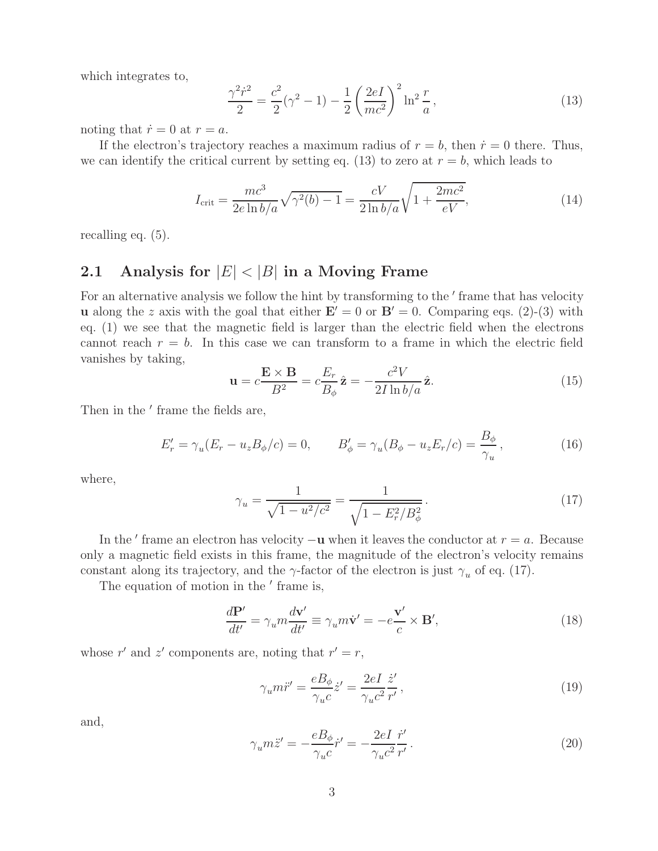which integrates to,

$$
\frac{\gamma^2 \dot{r}^2}{2} = \frac{c^2}{2} (\gamma^2 - 1) - \frac{1}{2} \left( \frac{2eI}{mc^2} \right)^2 \ln^2 \frac{r}{a},\tag{13}
$$

noting that  $\dot{r} = 0$  at  $r = a$ .

If the electron's trajectory reaches a maximum radius of  $r = b$ , then  $\dot{r} = 0$  there. Thus, we can identify the critical current by setting eq. (13) to zero at  $r = b$ , which leads to

$$
I_{\rm crit} = \frac{mc^3}{2e \ln b/a} \sqrt{\gamma^2(b) - 1} = \frac{cV}{2 \ln b/a} \sqrt{1 + \frac{2mc^2}{eV}},\tag{14}
$$

recalling eq. (5).

### **2.1 Analysis for** <sup>|</sup>E<sup>|</sup> <sup>&</sup>lt; <sup>|</sup>B<sup>|</sup> **in a Moving Frame**

For an alternative analysis we follow the hint by transforming to the ' frame that has velocity **u** along the z axis with the goal that either  $\mathbf{E}' = 0$  or  $\mathbf{B}' = 0$ . Comparing eqs. (2)-(3) with eq. (1) we see that the magnetic field is larger than the electric field when the electrons cannot reach  $r = b$ . In this case we can transform to a frame in which the electric field vanishes by taking,

$$
\mathbf{u} = c \frac{\mathbf{E} \times \mathbf{B}}{B^2} = c \frac{E_r}{B_\phi} \hat{\mathbf{z}} = -\frac{c^2 V}{2I \ln b/a} \hat{\mathbf{z}}.
$$
 (15)

Then in the ' frame the fields are,

$$
E'_{r} = \gamma_{u}(E_{r} - u_{z}B_{\phi}/c) = 0, \qquad B'_{\phi} = \gamma_{u}(B_{\phi} - u_{z}E_{r}/c) = \frac{B_{\phi}}{\gamma_{u}}, \qquad (16)
$$

where,

$$
\gamma_u = \frac{1}{\sqrt{1 - u^2/c^2}} = \frac{1}{\sqrt{1 - E_r^2/B_\phi^2}}.
$$
\n(17)

In the  $\prime$  frame an electron has velocity  $-\mathbf{u}$  when it leaves the conductor at  $r = a$ . Because only a magnetic field exists in this frame, the magnitude of the electron's velocity remains constant along its trajectory, and the  $\gamma$ -factor of the electron is just  $\gamma_u$  of eq. (17).

The equation of motion in the ' frame is,

$$
\frac{d\mathbf{P}'}{dt'} = \gamma_u m \frac{d\mathbf{v}'}{dt'} \equiv \gamma_u m \dot{\mathbf{v}}' = -e \frac{\mathbf{v}'}{c} \times \mathbf{B}',\tag{18}
$$

whose r' and z' components are, noting that  $r' = r$ ,

$$
\gamma_u m \ddot{r}' = \frac{e B_\phi}{\gamma_u c} \dot{z}' = \frac{2e I}{\gamma_u c^2} \frac{\dot{z}'}{r'},\tag{19}
$$

and,

$$
\gamma_u m \ddot{z}' = -\frac{e B_\phi}{\gamma_u c} \dot{r}' = -\frac{2e I}{\gamma_u c^2} \frac{\dot{r}'}{r'}.
$$
\n(20)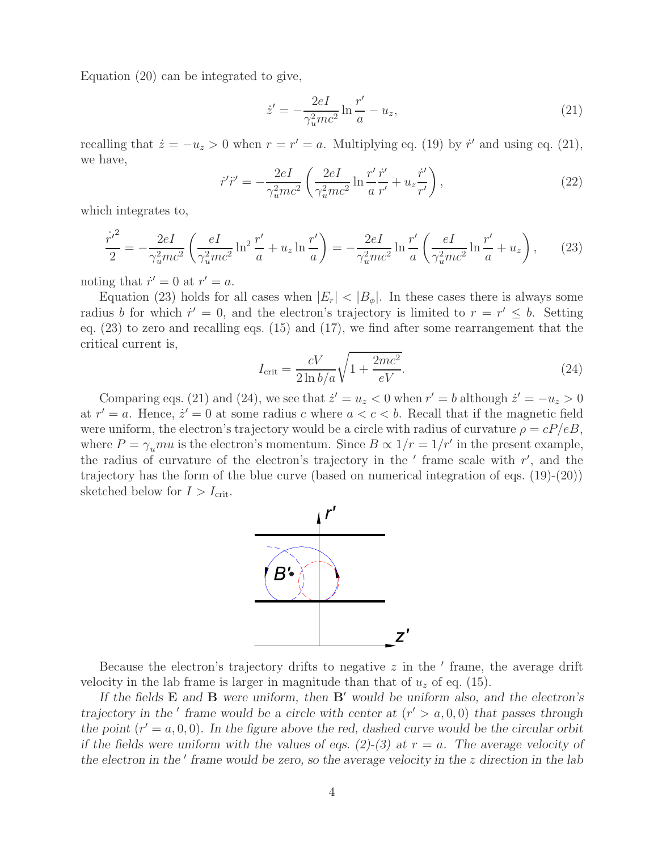Equation (20) can be integrated to give,

$$
\dot{z}' = -\frac{2eI}{\gamma_u^2mc^2} \ln \frac{r'}{a} - u_z,\tag{21}
$$

recalling that  $\dot{z} = -u_z > 0$  when  $r = r' = a$ . Multiplying eq. (19) by  $\dot{r}'$  and using eq. (21), we have,

$$
\dot{r}'\ddot{r}' = -\frac{2eI}{\gamma_u^2mc^2} \left(\frac{2eI}{\gamma_u^2mc^2} \ln \frac{r'}{a} \frac{\dot{r}'}{r'} + u_z \frac{\dot{r}'}{r'}\right),\tag{22}
$$

which integrates to,

$$
\frac{{\dot{r'}}^2}{2} = -\frac{2eI}{\gamma_u^2 mc^2} \left( \frac{eI}{\gamma_u^2 mc^2} \ln^2 \frac{r'}{a} + u_z \ln \frac{r'}{a} \right) = -\frac{2eI}{\gamma_u^2 mc^2} \ln \frac{r'}{a} \left( \frac{eI}{\gamma_u^2 mc^2} \ln \frac{r'}{a} + u_z \right), \tag{23}
$$

noting that  $\dot{r}' = 0$  at  $r' = a$ .

Equation (23) holds for all cases when  $|E_r| < |B_{\phi}|$ . In these cases there is always some radius b for which  $r' = 0$ , and the electron's trajectory is limited to  $r = r' \leq b$ . Setting eq. (23) to zero and recalling eqs. (15) and (17), we find after some rearrangement that the critical current is,

$$
I_{\rm crit} = \frac{cV}{2\ln b/a} \sqrt{1 + \frac{2mc^2}{eV}}.\tag{24}
$$

Comparing eqs. (21) and (24), we see that  $\dot{z}' = u_z < 0$  when  $r' = b$  although  $\dot{z}' = -u_z > 0$ at  $r' = a$ . Hence,  $\dot{z}' = 0$  at some radius c where  $a < c < b$ . Recall that if the magnetic field were uniform, the electron's trajectory would be a circle with radius of curvature  $\rho = cP/eB$ , where  $P = \gamma_u m u$  is the electron's momentum. Since  $B \propto 1/r = 1/r'$  in the present example, the radius of curvature of the electron's trajectory in the  $'$  frame scale with  $r'$ , and the trajectory has the form of the blue curve (based on numerical integration of eqs. (19)-(20)) sketched below for  $I > I_{\text{crit}}$ .



Because the electron's trajectory drifts to negative  $z$  in the  $'$  frame, the average drift velocity in the lab frame is larger in magnitude than that of  $u<sub>z</sub>$  of eq. (15).

*If the fields* **E** *and* **B** *were uniform, then* **B**<sup> $\prime$ </sup> *would be uniform also, and the electron's* in the  $\prime$  *frame would be a circle with center at*  $(r' > a, 0, 0)$  that passes through *trajectory in the*  $\prime$  frame would be a circle with center at  $(r' > a, 0, 0)$  that passes through the point  $(r' = a, 0, 0)$ *. In the figure above the red, dashed curve would be the circular orbit if the fields were uniform with the values of eqs. (2)-(3) at*  $r = a$ . The average velocity of the electron in the ' frame would be zero, so the average velocity in the z direction in the lab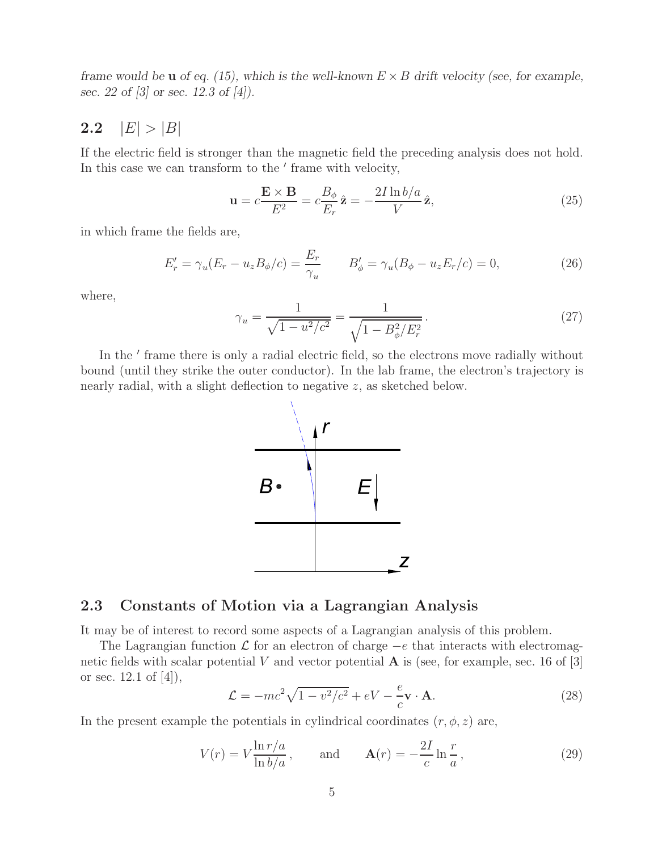*frame would be u of eq. (15), which is the well-known*  $E \times B$  *drift velocity (see, for example, sec. 22 of [3] or sec. 12.3 of [4]).*

#### **2.2**  $|E| > |B|$

If the electric field is stronger than the magnetic field the preceding analysis does not hold. In this case we can transform to the ' frame with velocity,

$$
\mathbf{u} = c \frac{\mathbf{E} \times \mathbf{B}}{E^2} = c \frac{B_{\phi}}{E_r} \hat{\mathbf{z}} = -\frac{2I \ln b/a}{V} \hat{\mathbf{z}},\tag{25}
$$

in which frame the fields are,

$$
E'_{r} = \gamma_{u}(E_{r} - u_{z}B_{\phi}/c) = \frac{E_{r}}{\gamma_{u}} \qquad B'_{\phi} = \gamma_{u}(B_{\phi} - u_{z}E_{r}/c) = 0, \qquad (26)
$$

where,

$$
\gamma_u = \frac{1}{\sqrt{1 - u^2/c^2}} = \frac{1}{\sqrt{1 - B_\phi^2/E_r^2}}.
$$
\n(27)

In the ' frame there is only a radial electric field, so the electrons move radially without bound (until they strike the outer conductor). In the lab frame, the electron's trajectory is nearly radial, with a slight deflection to negative z, as sketched below.



#### **2.3 Constants of Motion via a Lagrangian Analysis**

It may be of interest to record some aspects of a Lagrangian analysis of this problem.

The Lagrangian function  $\mathcal L$  for an electron of charge  $-e$  that interacts with electromagnetic fields with scalar potential V and vector potential  $\bf{A}$  is (see, for example, sec. 16 of [3] or sec. 12.1 of [4]),

$$
\mathcal{L} = -mc^2\sqrt{1 - v^2/c^2} + eV - \frac{e}{c}\mathbf{v} \cdot \mathbf{A}.
$$
 (28)

In the present example the potentials in cylindrical coordinates  $(r, \phi, z)$  are,

$$
V(r) = V \frac{\ln r/a}{\ln b/a}, \quad \text{and} \quad \mathbf{A}(r) = -\frac{2I}{c} \ln \frac{r}{a}, \quad (29)
$$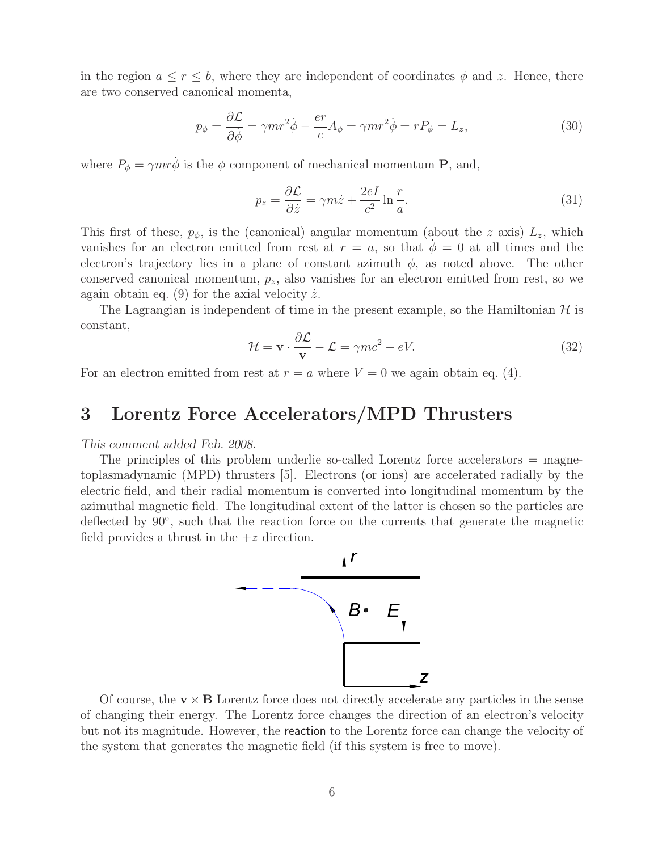in the region  $a \leq r \leq b$ , where they are independent of coordinates  $\phi$  and z. Hence, there are two conserved canonical momenta,

$$
p_{\phi} = \frac{\partial \mathcal{L}}{\partial \dot{\phi}} = \gamma m r^2 \dot{\phi} - \frac{er}{c} A_{\phi} = \gamma m r^2 \dot{\phi} = r P_{\phi} = L_z,
$$
 (30)

where  $P_{\phi} = \gamma m r \dot{\phi}$  is the  $\phi$  component of mechanical momentum **P**, and,

$$
p_z = \frac{\partial \mathcal{L}}{\partial \dot{z}} = \gamma m \dot{z} + \frac{2eI}{c^2} \ln \frac{r}{a}.
$$
 (31)

This first of these,  $p_{\phi}$ , is the (canonical) angular momentum (about the z axis)  $L_z$ , which vanishes for an electron emitted from rest at  $r = a$ , so that  $\phi = 0$  at all times and the electron's trajectory lies in a plane of constant azimuth  $\phi$ , as noted above. The other conserved canonical momentum,  $p_z$ , also vanishes for an electron emitted from rest, so we again obtain eq. (9) for the axial velocity  $\dot{z}$ .

The Lagrangian is independent of time in the present example, so the Hamiltonian  $H$  is constant,

$$
\mathcal{H} = \mathbf{v} \cdot \frac{\partial \mathcal{L}}{\mathbf{v}} - \mathcal{L} = \gamma mc^2 - eV.
$$
 (32)

For an electron emitted from rest at  $r = a$  where  $V = 0$  we again obtain eq. (4).

#### **3 Lorentz Force Accelerators/MPD Thrusters** 3

#### *This comment added Feb. 2008.*

The principles of this problem underlie so-called Lorentz force accelerators = magnetoplasmadynamic (MPD) thrusters [5]. Electrons (or ions) are accelerated radially by the electric field, and their radial momentum is converted into longitudinal momentum by the azimuthal magnetic field. The longitudinal extent of the latter is chosen so the particles are deflected by 90◦, such that the reaction force on the currents that generate the magnetic field provides a thrust in the  $+z$  direction.



Of course, the  $\mathbf{v} \times \mathbf{B}$  Lorentz force does not directly accelerate any particles in the sense of changing their energy. The Lorentz force changes the direction of an electron's velocity but not its magnitude. However, the reaction to the Lorentz force can change the velocity of the system that generates the magnetic field (if this system is free to move).